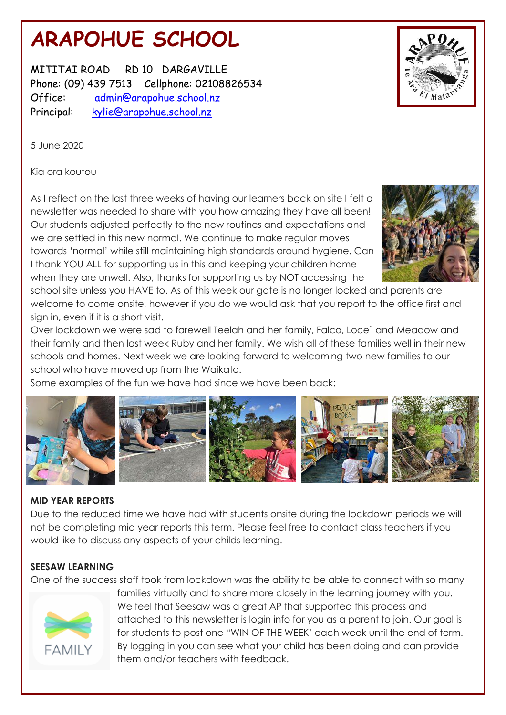# **ARAPOHUE SCHOOL**

MITITAI ROAD RD 10 DARGAVILLE Phone: (09) 439 7513 Cellphone: 02108826534 Office: admin@arapohue.school.nz Principal: [kylie@arapohue.school.nz](mailto:kylie@arapohue.school.nz)



5 June 2020

Kia ora koutou

As I reflect on the last three weeks of having our learners back on site I felt a newsletter was needed to share with you how amazing they have all been! Our students adjusted perfectly to the new routines and expectations and we are settled in this new normal. We continue to make regular moves towards 'normal' while still maintaining high standards around hygiene. Can I thank YOU ALL for supporting us in this and keeping your children home when they are unwell. Also, thanks for supporting us by NOT accessing the



school site unless you HAVE to. As of this week our gate is no longer locked and parents are welcome to come onsite, however if you do we would ask that you report to the office first and sign in, even if it is a short visit.

Over lockdown we were sad to farewell Teelah and her family, Falco, Loce` and Meadow and their family and then last week Ruby and her family. We wish all of these families well in their new schools and homes. Next week we are looking forward to welcoming two new families to our school who have moved up from the Waikato.

Some examples of the fun we have had since we have been back:



# **MID YEAR REPORTS**

Due to the reduced time we have had with students onsite during the lockdown periods we will not be completing mid year reports this term. Please feel free to contact class teachers if you would like to discuss any aspects of your childs learning.

# **SEESAW LEARNING**

One of the success staff took from lockdown was the ability to be able to connect with so many



families virtually and to share more closely in the learning journey with you. We feel that Seesaw was a great AP that supported this process and attached to this newsletter is login info for you as a parent to join. Our goal is for students to post one "WIN OF THE WEEK' each week until the end of term. By logging in you can see what your child has been doing and can provide them and/or teachers with feedback.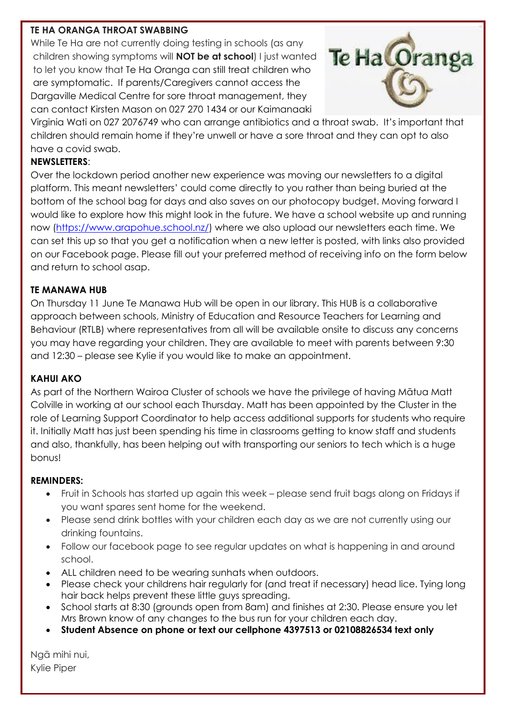### **TE HA ORANGA THROAT SWABBING**

While Te Ha are not currently doing testing in schools (as any children showing symptoms will **NOT be at school**) I just wanted to let you know that Te Ha Oranga can still treat children who are symptomatic. If parents/Caregivers cannot access the Dargaville Medical Centre for sore throat management, they can contact Kirsten Mason on 027 270 1434 or our Kaimanaaki



Virginia Wati on 027 2076749 who can arrange antibiotics and a throat swab. It's important that children should remain home if they're unwell or have a sore throat and they can opt to also have a covid swab.

## **NEWSLETTERS**:

Over the lockdown period another new experience was moving our newsletters to a digital platform. This meant newsletters' could come directly to you rather than being buried at the bottom of the school bag for days and also saves on our photocopy budget. Moving forward I would like to explore how this might look in the future. We have a school website up and running now [\(https://www.arapohue.school.nz/\)](https://www.arapohue.school.nz/) where we also upload our newsletters each time. We can set this up so that you get a notification when a new letter is posted, with links also provided on our Facebook page. Please fill out your preferred method of receiving info on the form below and return to school asap.

## **TE MANAWA HUB**

On Thursday 11 June Te Manawa Hub will be open in our library. This HUB is a collaborative approach between schools, Ministry of Education and Resource Teachers for Learning and Behaviour (RTLB) where representatives from all will be available onsite to discuss any concerns you may have regarding your children. They are available to meet with parents between 9:30 and 12:30 – please see Kylie if you would like to make an appointment.

### **KAHUI AKO**

As part of the Northern Wairoa Cluster of schools we have the privilege of having Mātua Matt Colville in working at our school each Thursday. Matt has been appointed by the Cluster in the role of Learning Support Coordinator to help access additional supports for students who require it. Initially Matt has just been spending his time in classrooms getting to know staff and students and also, thankfully, has been helping out with transporting our seniors to tech which is a huge bonus!

### **REMINDERS:**

- Fruit in Schools has started up again this week please send fruit bags along on Fridays if you want spares sent home for the weekend.
- Please send drink bottles with your children each day as we are not currently using our drinking fountains.
- Follow our facebook page to see regular updates on what is happening in and around school.
- ALL children need to be wearing sunhats when outdoors.
- Please check your childrens hair regularly for (and treat if necessary) head lice. Tying long hair back helps prevent these little guys spreading.
- School starts at 8:30 (grounds open from 8am) and finishes at 2:30. Please ensure you let Mrs Brown know of any changes to the bus run for your children each day.
- **Student Absence on phone or text our cellphone 4397513 or 02108826534 text only**

Ngā mihi nui, Kylie Piper